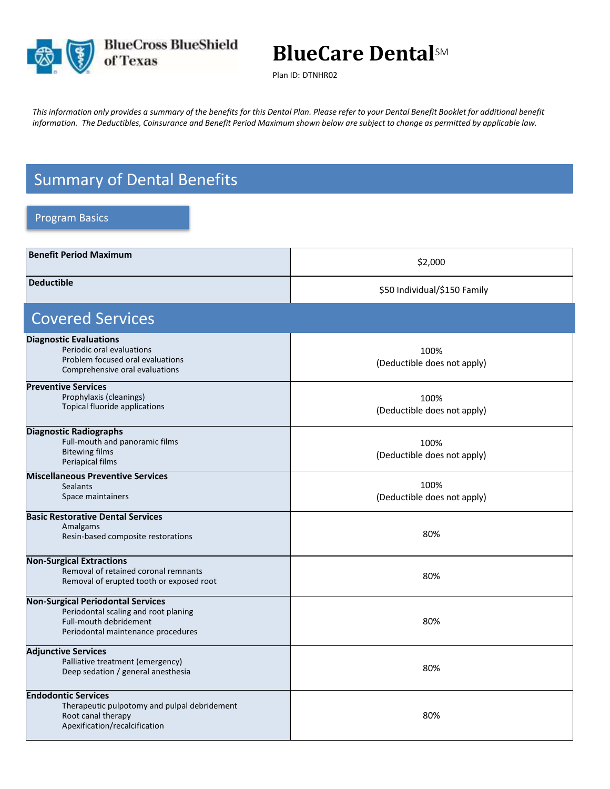

## **BlueCare Dental**SM

Plan ID: DTNHR02

This information only provides a summary of the benefits for this Dental Plan. Please refer to your Dental Benefit Booklet for additional benefit information. The Deductibles, Coinsurance and Benefit Period Maximum shown below are subject to change as permitted by applicable law.

## Summary of Dental Benefits

## Program Basics

| <b>Benefit Period Maximum</b>                                                                                                                    | \$2,000                             |
|--------------------------------------------------------------------------------------------------------------------------------------------------|-------------------------------------|
| <b>Deductible</b>                                                                                                                                | \$50 Individual/\$150 Family        |
| <b>Covered Services</b>                                                                                                                          |                                     |
| <b>Diagnostic Evaluations</b><br>Periodic oral evaluations<br>Problem focused oral evaluations<br>Comprehensive oral evaluations                 | 100%<br>(Deductible does not apply) |
| <b>Preventive Services</b><br>Prophylaxis (cleanings)<br>Topical fluoride applications                                                           | 100%<br>(Deductible does not apply) |
| <b>Diagnostic Radiographs</b><br>Full-mouth and panoramic films<br><b>Bitewing films</b><br>Periapical films                                     | 100%<br>(Deductible does not apply) |
| <b>Miscellaneous Preventive Services</b><br><b>Sealants</b><br>Space maintainers                                                                 | 100%<br>(Deductible does not apply) |
| <b>Basic Restorative Dental Services</b><br>Amalgams<br>Resin-based composite restorations                                                       | 80%                                 |
| <b>Non-Surgical Extractions</b><br>Removal of retained coronal remnants<br>Removal of erupted tooth or exposed root                              | 80%                                 |
| <b>Non-Surgical Periodontal Services</b><br>Periodontal scaling and root planing<br>Full-mouth debridement<br>Periodontal maintenance procedures | 80%                                 |
| <b>Adjunctive Services</b><br>Palliative treatment (emergency)<br>Deep sedation / general anesthesia                                             | 80%                                 |
| <b>Endodontic Services</b><br>Therapeutic pulpotomy and pulpal debridement<br>Root canal therapy<br>Apexification/recalcification                | 80%                                 |